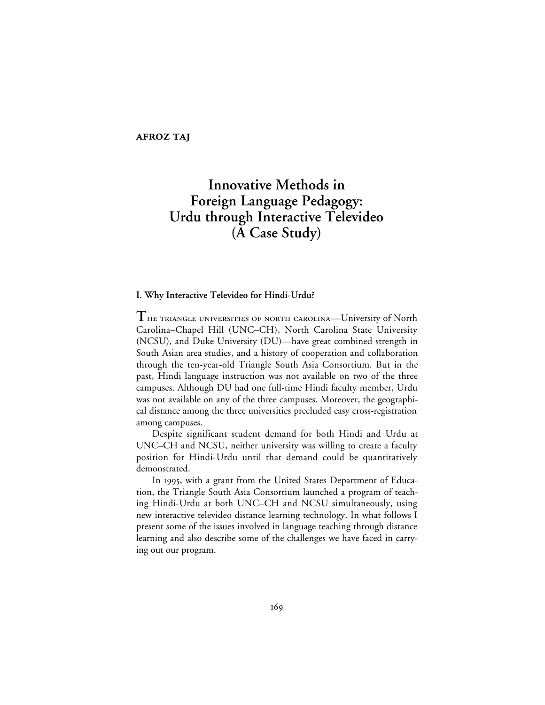**AFROZ TAJ** 

# **Innovative Methods in Foreign Language Pedagogy: Urdu through Interactive Televideo (A Case Study)**

# **I. Why Interactive Televideo for Hindi-Urdu?**

THE TRIANGLE UNIVERSITIES OF NORTH CAROLINA—University of North Carolina–Chapel Hill (UNC–CH), North Carolina State University (NCSU), and Duke University (DU)—have great combined strength in South Asian area studies, and a history of cooperation and collaboration through the ten-year-old Triangle South Asia Consortium. But in the past, Hindi language instruction was not available on two of the three campuses. Although DU had one full-time Hindi faculty member, Urdu was not available on any of the three campuses. Moreover, the geographical distance among the three universities precluded easy cross-registration among campuses.

Despite significant student demand for both Hindi and Urdu at UNC–CH and NCSU, neither university was willing to create a faculty position for Hindi-Urdu until that demand could be quantitatively demonstrated.

In 1995, with a grant from the United States Department of Education, the Triangle South Asia Consortium launched a program of teaching Hindi-Urdu at both UNC–CH and NCSU simultaneously, using new interactive televideo distance learning technology. In what follows I present some of the issues involved in language teaching through distance learning and also describe some of the challenges we have faced in carrying out our program.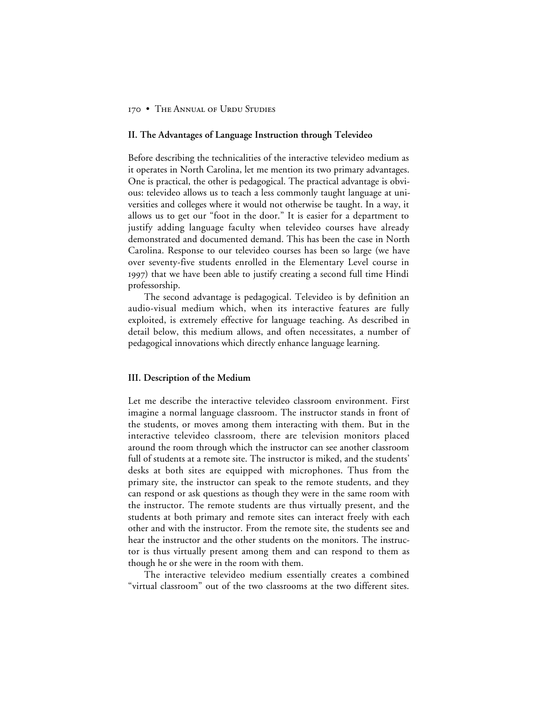#### **II. The Advantages of Language Instruction through Televideo**

Before describing the technicalities of the interactive televideo medium as it operates in North Carolina, let me mention its two primary advantages. One is practical, the other is pedagogical. The practical advantage is obvious: televideo allows us to teach a less commonly taught language at universities and colleges where it would not otherwise be taught. In a way, it allows us to get our "foot in the door." It is easier for a department to justify adding language faculty when televideo courses have already demonstrated and documented demand. This has been the case in North Carolina. Response to our televideo courses has been so large (we have over seventy-five students enrolled in the Elementary Level course in ) that we have been able to justify creating a second full time Hindi professorship.

The second advantage is pedagogical. Televideo is by definition an audio-visual medium which, when its interactive features are fully exploited, is extremely effective for language teaching. As described in detail below, this medium allows, and often necessitates, a number of pedagogical innovations which directly enhance language learning.

#### **III. Description of the Medium**

Let me describe the interactive televideo classroom environment. First imagine a normal language classroom. The instructor stands in front of the students, or moves among them interacting with them. But in the interactive televideo classroom, there are television monitors placed around the room through which the instructor can see another classroom full of students at a remote site. The instructor is miked, and the students' desks at both sites are equipped with microphones. Thus from the primary site, the instructor can speak to the remote students, and they can respond or ask questions as though they were in the same room with the instructor. The remote students are thus virtually present, and the students at both primary and remote sites can interact freely with each other and with the instructor. From the remote site, the students see and hear the instructor and the other students on the monitors. The instructor is thus virtually present among them and can respond to them as though he or she were in the room with them.

The interactive televideo medium essentially creates a combined "virtual classroom" out of the two classrooms at the two different sites.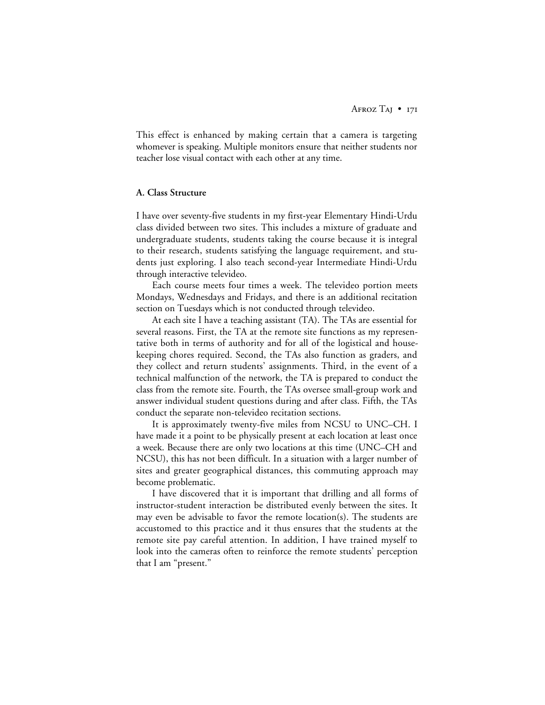This effect is enhanced by making certain that a camera is targeting whomever is speaking. Multiple monitors ensure that neither students nor teacher lose visual contact with each other at any time.

## **A. Class Structure**

I have over seventy-five students in my first-year Elementary Hindi-Urdu class divided between two sites. This includes a mixture of graduate and undergraduate students, students taking the course because it is integral to their research, students satisfying the language requirement, and students just exploring. I also teach second-year Intermediate Hindi-Urdu through interactive televideo.

Each course meets four times a week. The televideo portion meets Mondays, Wednesdays and Fridays, and there is an additional recitation section on Tuesdays which is not conducted through televideo.

At each site I have a teaching assistant (TA). The TAs are essential for several reasons. First, the TA at the remote site functions as my representative both in terms of authority and for all of the logistical and housekeeping chores required. Second, the TAs also function as graders, and they collect and return students' assignments. Third, in the event of a technical malfunction of the network, the TA is prepared to conduct the class from the remote site. Fourth, the TAs oversee small-group work and answer individual student questions during and after class. Fifth, the TAs conduct the separate non-televideo recitation sections.

It is approximately twenty-five miles from NCSU to UNC–CH. I have made it a point to be physically present at each location at least once a week. Because there are only two locations at this time (UNC–CH and NCSU), this has not been difficult. In a situation with a larger number of sites and greater geographical distances, this commuting approach may become problematic.

I have discovered that it is important that drilling and all forms of instructor-student interaction be distributed evenly between the sites. It may even be advisable to favor the remote location(s). The students are accustomed to this practice and it thus ensures that the students at the remote site pay careful attention. In addition, I have trained myself to look into the cameras often to reinforce the remote students' perception that I am "present."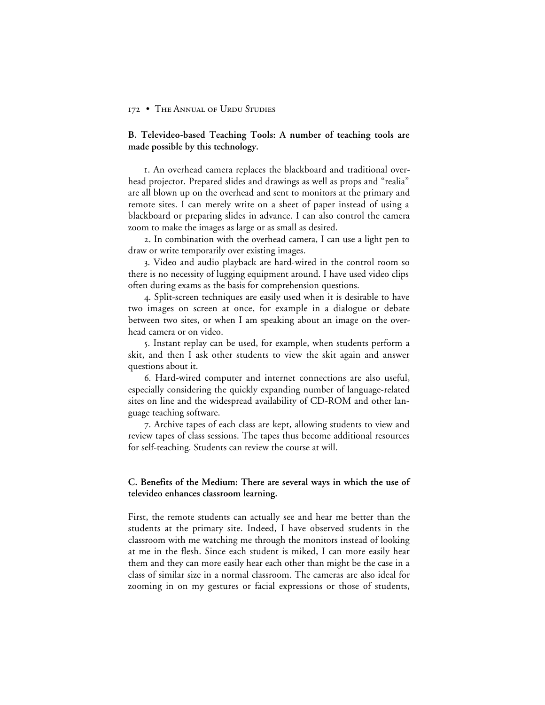**B. Televideo-based Teaching Tools: A number of teaching tools are made possible by this technology.**

. An overhead camera replaces the blackboard and traditional overhead projector. Prepared slides and drawings as well as props and "realia" are all blown up on the overhead and sent to monitors at the primary and remote sites. I can merely write on a sheet of paper instead of using a blackboard or preparing slides in advance. I can also control the camera zoom to make the images as large or as small as desired.

. In combination with the overhead camera, I can use a light pen to draw or write temporarily over existing images.

. Video and audio playback are hard-wired in the control room so there is no necessity of lugging equipment around. I have used video clips often during exams as the basis for comprehension questions.

. Split-screen techniques are easily used when it is desirable to have two images on screen at once, for example in a dialogue or debate between two sites, or when I am speaking about an image on the overhead camera or on video.

. Instant replay can be used, for example, when students perform a skit, and then I ask other students to view the skit again and answer questions about it.

. Hard-wired computer and internet connections are also useful, especially considering the quickly expanding number of language-related sites on line and the widespread availability of CD-ROM and other language teaching software.

. Archive tapes of each class are kept, allowing students to view and review tapes of class sessions. The tapes thus become additional resources for self-teaching. Students can review the course at will.

# **C. Benefits of the Medium: There are several ways in which the use of televideo enhances classroom learning.**

First, the remote students can actually see and hear me better than the students at the primary site. Indeed, I have observed students in the classroom with me watching me through the monitors instead of looking at me in the flesh. Since each student is miked, I can more easily hear them and they can more easily hear each other than might be the case in a class of similar size in a normal classroom. The cameras are also ideal for zooming in on my gestures or facial expressions or those of students,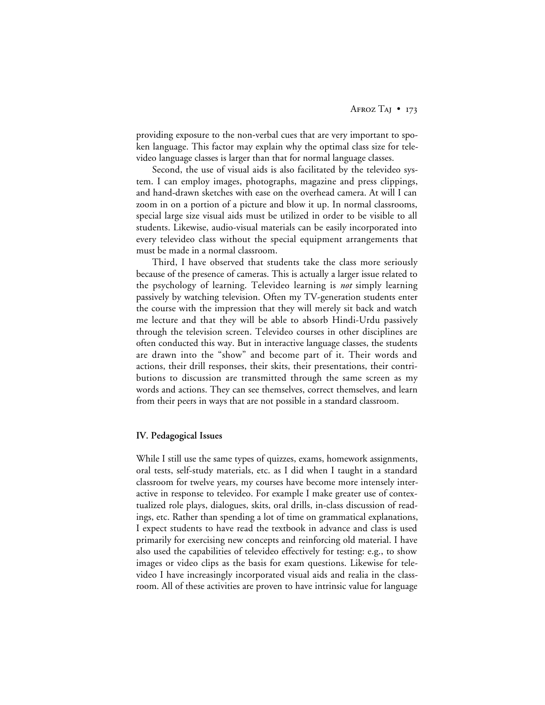providing exposure to the non-verbal cues that are very important to spoken language. This factor may explain why the optimal class size for televideo language classes is larger than that for normal language classes.

Second, the use of visual aids is also facilitated by the televideo system. I can employ images, photographs, magazine and press clippings, and hand-drawn sketches with ease on the overhead camera. At will I can zoom in on a portion of a picture and blow it up. In normal classrooms, special large size visual aids must be utilized in order to be visible to all students. Likewise, audio-visual materials can be easily incorporated into every televideo class without the special equipment arrangements that must be made in a normal classroom.

Third, I have observed that students take the class more seriously because of the presence of cameras. This is actually a larger issue related to the psychology of learning. Televideo learning is *not* simply learning passively by watching television. Often my TV-generation students enter the course with the impression that they will merely sit back and watch me lecture and that they will be able to absorb Hindi-Urdu passively through the television screen. Televideo courses in other disciplines are often conducted this way. But in interactive language classes, the students are drawn into the "show" and become part of it. Their words and actions, their drill responses, their skits, their presentations, their contributions to discussion are transmitted through the same screen as my words and actions. They can see themselves, correct themselves, and learn from their peers in ways that are not possible in a standard classroom.

#### **IV. Pedagogical Issues**

While I still use the same types of quizzes, exams, homework assignments, oral tests, self-study materials, etc. as I did when I taught in a standard classroom for twelve years, my courses have become more intensely interactive in response to televideo. For example I make greater use of contextualized role plays, dialogues, skits, oral drills, in-class discussion of readings, etc. Rather than spending a lot of time on grammatical explanations, I expect students to have read the textbook in advance and class is used primarily for exercising new concepts and reinforcing old material. I have also used the capabilities of televideo effectively for testing: e.g., to show images or video clips as the basis for exam questions. Likewise for televideo I have increasingly incorporated visual aids and realia in the classroom. All of these activities are proven to have intrinsic value for language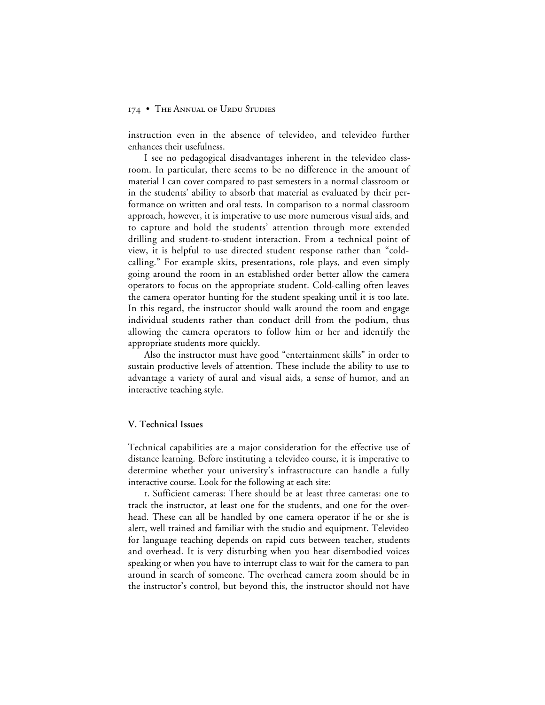instruction even in the absence of televideo, and televideo further enhances their usefulness.

I see no pedagogical disadvantages inherent in the televideo classroom. In particular, there seems to be no difference in the amount of material I can cover compared to past semesters in a normal classroom or in the students' ability to absorb that material as evaluated by their performance on written and oral tests. In comparison to a normal classroom approach, however, it is imperative to use more numerous visual aids, and to capture and hold the students' attention through more extended drilling and student-to-student interaction. From a technical point of view, it is helpful to use directed student response rather than "coldcalling." For example skits, presentations, role plays, and even simply going around the room in an established order better allow the camera operators to focus on the appropriate student. Cold-calling often leaves the camera operator hunting for the student speaking until it is too late. In this regard, the instructor should walk around the room and engage individual students rather than conduct drill from the podium, thus allowing the camera operators to follow him or her and identify the appropriate students more quickly.

Also the instructor must have good "entertainment skills" in order to sustain productive levels of attention. These include the ability to use to advantage a variety of aural and visual aids, a sense of humor, and an interactive teaching style.

#### **V. Technical Issues**

Technical capabilities are a major consideration for the effective use of distance learning. Before instituting a televideo course, it is imperative to determine whether your university's infrastructure can handle a fully interactive course. Look for the following at each site:

. Sufficient cameras: There should be at least three cameras: one to track the instructor, at least one for the students, and one for the overhead. These can all be handled by one camera operator if he or she is alert, well trained and familiar with the studio and equipment. Televideo for language teaching depends on rapid cuts between teacher, students and overhead. It is very disturbing when you hear disembodied voices speaking or when you have to interrupt class to wait for the camera to pan around in search of someone. The overhead camera zoom should be in the instructor's control, but beyond this, the instructor should not have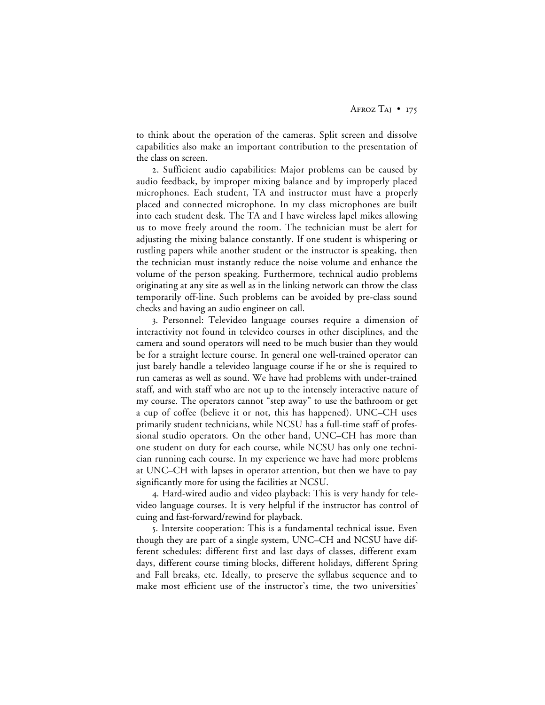to think about the operation of the cameras. Split screen and dissolve capabilities also make an important contribution to the presentation of the class on screen.

. Sufficient audio capabilities: Major problems can be caused by audio feedback, by improper mixing balance and by improperly placed microphones. Each student, TA and instructor must have a properly placed and connected microphone. In my class microphones are built into each student desk. The TA and I have wireless lapel mikes allowing us to move freely around the room. The technician must be alert for adjusting the mixing balance constantly. If one student is whispering or rustling papers while another student or the instructor is speaking, then the technician must instantly reduce the noise volume and enhance the volume of the person speaking. Furthermore, technical audio problems originating at any site as well as in the linking network can throw the class temporarily off-line. Such problems can be avoided by pre-class sound checks and having an audio engineer on call.

. Personnel: Televideo language courses require a dimension of interactivity not found in televideo courses in other disciplines, and the camera and sound operators will need to be much busier than they would be for a straight lecture course. In general one well-trained operator can just barely handle a televideo language course if he or she is required to run cameras as well as sound. We have had problems with under-trained staff, and with staff who are not up to the intensely interactive nature of my course. The operators cannot "step away" to use the bathroom or get a cup of coffee (believe it or not, this has happened). UNC–CH uses primarily student technicians, while NCSU has a full-time staff of professional studio operators. On the other hand, UNC–CH has more than one student on duty for each course, while NCSU has only one technician running each course. In my experience we have had more problems at UNC–CH with lapses in operator attention, but then we have to pay significantly more for using the facilities at NCSU.

. Hard-wired audio and video playback: This is very handy for televideo language courses. It is very helpful if the instructor has control of cuing and fast-forward/rewind for playback.

. Intersite cooperation: This is a fundamental technical issue. Even though they are part of a single system, UNC–CH and NCSU have different schedules: different first and last days of classes, different exam days, different course timing blocks, different holidays, different Spring and Fall breaks, etc. Ideally, to preserve the syllabus sequence and to make most efficient use of the instructor's time, the two universities'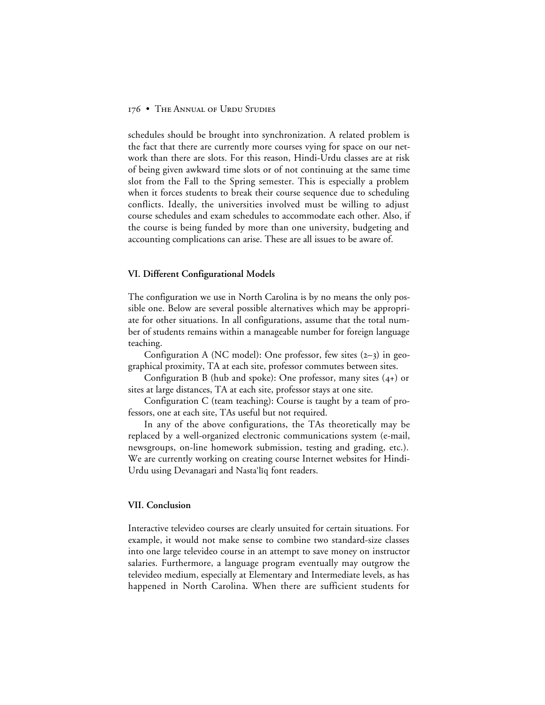schedules should be brought into synchronization. A related problem is the fact that there are currently more courses vying for space on our network than there are slots. For this reason, Hindi-Urdu classes are at risk of being given awkward time slots or of not continuing at the same time slot from the Fall to the Spring semester. This is especially a problem when it forces students to break their course sequence due to scheduling conflicts. Ideally, the universities involved must be willing to adjust course schedules and exam schedules to accommodate each other. Also, if the course is being funded by more than one university, budgeting and accounting complications can arise. These are all issues to be aware of.

#### **VI. Different Configurational Models**

The configuration we use in North Carolina is by no means the only possible one. Below are several possible alternatives which may be appropriate for other situations. In all configurations, assume that the total number of students remains within a manageable number for foreign language teaching.

Configuration A (NC model): One professor, few sites  $(2-3)$  in geographical proximity, TA at each site, professor commutes between sites.

Configuration B (hub and spoke): One professor, many sites  $(4+)$  or sites at large distances, TA at each site, professor stays at one site.

Configuration C (team teaching): Course is taught by a team of professors, one at each site, TAs useful but not required.

In any of the above configurations, the TAs theoretically may be replaced by a well-organized electronic communications system (e-mail, newsgroups, on-line homework submission, testing and grading, etc.). We are currently working on creating course Internet websites for Hindi-Urdu using Devanagari and Nasta'liq font readers.

## **VII. Conclusion**

Interactive televideo courses are clearly unsuited for certain situations. For example, it would not make sense to combine two standard-size classes into one large televideo course in an attempt to save money on instructor salaries. Furthermore, a language program eventually may outgrow the televideo medium, especially at Elementary and Intermediate levels, as has happened in North Carolina. When there are sufficient students for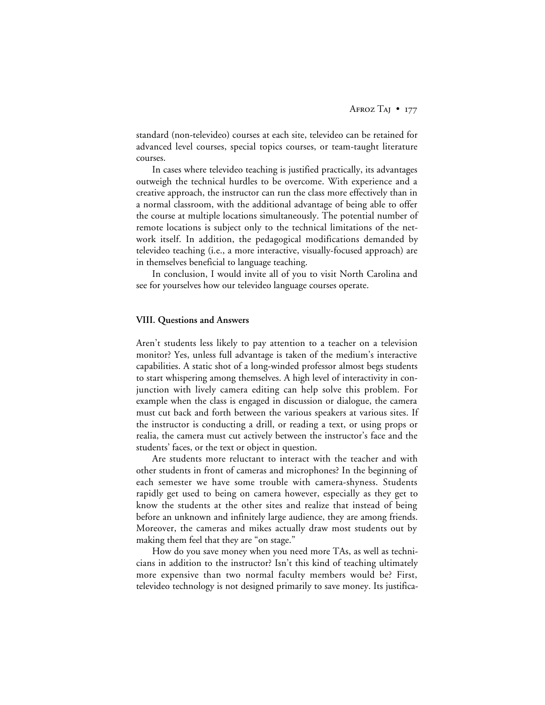standard (non-televideo) courses at each site, televideo can be retained for advanced level courses, special topics courses, or team-taught literature courses.

In cases where televideo teaching is justified practically, its advantages outweigh the technical hurdles to be overcome. With experience and a creative approach, the instructor can run the class more effectively than in a normal classroom, with the additional advantage of being able to offer the course at multiple locations simultaneously. The potential number of remote locations is subject only to the technical limitations of the network itself. In addition, the pedagogical modifications demanded by televideo teaching (i.e., a more interactive, visually-focused approach) are in themselves beneficial to language teaching.

In conclusion, I would invite all of you to visit North Carolina and see for yourselves how our televideo language courses operate.

#### **VIII. Questions and Answers**

Aren't students less likely to pay attention to a teacher on a television monitor? Yes, unless full advantage is taken of the medium's interactive capabilities. A static shot of a long-winded professor almost begs students to start whispering among themselves. A high level of interactivity in conjunction with lively camera editing can help solve this problem. For example when the class is engaged in discussion or dialogue, the camera must cut back and forth between the various speakers at various sites. If the instructor is conducting a drill, or reading a text, or using props or realia, the camera must cut actively between the instructor's face and the students' faces, or the text or object in question.

Are students more reluctant to interact with the teacher and with other students in front of cameras and microphones? In the beginning of each semester we have some trouble with camera-shyness. Students rapidly get used to being on camera however, especially as they get to know the students at the other sites and realize that instead of being before an unknown and infinitely large audience, they are among friends. Moreover, the cameras and mikes actually draw most students out by making them feel that they are "on stage."

How do you save money when you need more TAs, as well as technicians in addition to the instructor? Isn't this kind of teaching ultimately more expensive than two normal faculty members would be? First, televideo technology is not designed primarily to save money. Its justifica-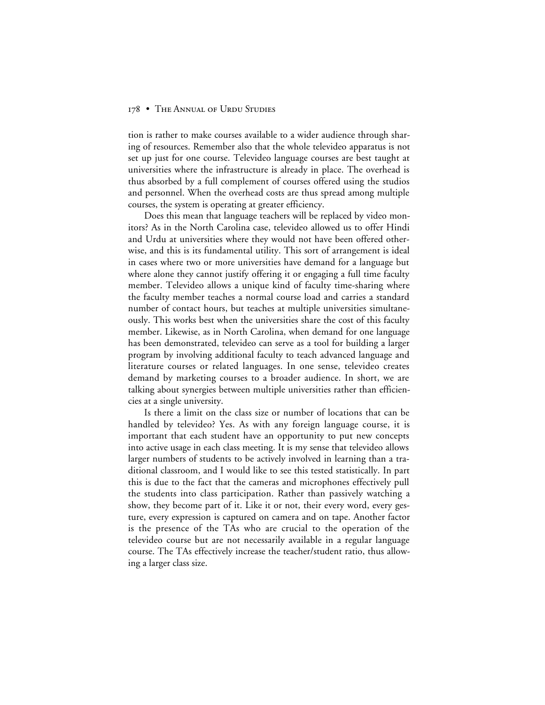tion is rather to make courses available to a wider audience through sharing of resources. Remember also that the whole televideo apparatus is not set up just for one course. Televideo language courses are best taught at universities where the infrastructure is already in place. The overhead is thus absorbed by a full complement of courses offered using the studios and personnel. When the overhead costs are thus spread among multiple courses, the system is operating at greater efficiency.

Does this mean that language teachers will be replaced by video monitors? As in the North Carolina case, televideo allowed us to offer Hindi and Urdu at universities where they would not have been offered otherwise, and this is its fundamental utility. This sort of arrangement is ideal in cases where two or more universities have demand for a language but where alone they cannot justify offering it or engaging a full time faculty member. Televideo allows a unique kind of faculty time-sharing where the faculty member teaches a normal course load and carries a standard number of contact hours, but teaches at multiple universities simultaneously. This works best when the universities share the cost of this faculty member. Likewise, as in North Carolina, when demand for one language has been demonstrated, televideo can serve as a tool for building a larger program by involving additional faculty to teach advanced language and literature courses or related languages. In one sense, televideo creates demand by marketing courses to a broader audience. In short, we are talking about synergies between multiple universities rather than efficiencies at a single university.

Is there a limit on the class size or number of locations that can be handled by televideo? Yes. As with any foreign language course, it is important that each student have an opportunity to put new concepts into active usage in each class meeting. It is my sense that televideo allows larger numbers of students to be actively involved in learning than a traditional classroom, and I would like to see this tested statistically. In part this is due to the fact that the cameras and microphones effectively pull the students into class participation. Rather than passively watching a show, they become part of it. Like it or not, their every word, every gesture, every expression is captured on camera and on tape. Another factor is the presence of the TAs who are crucial to the operation of the televideo course but are not necessarily available in a regular language course. The TAs effectively increase the teacher/student ratio, thus allowing a larger class size.